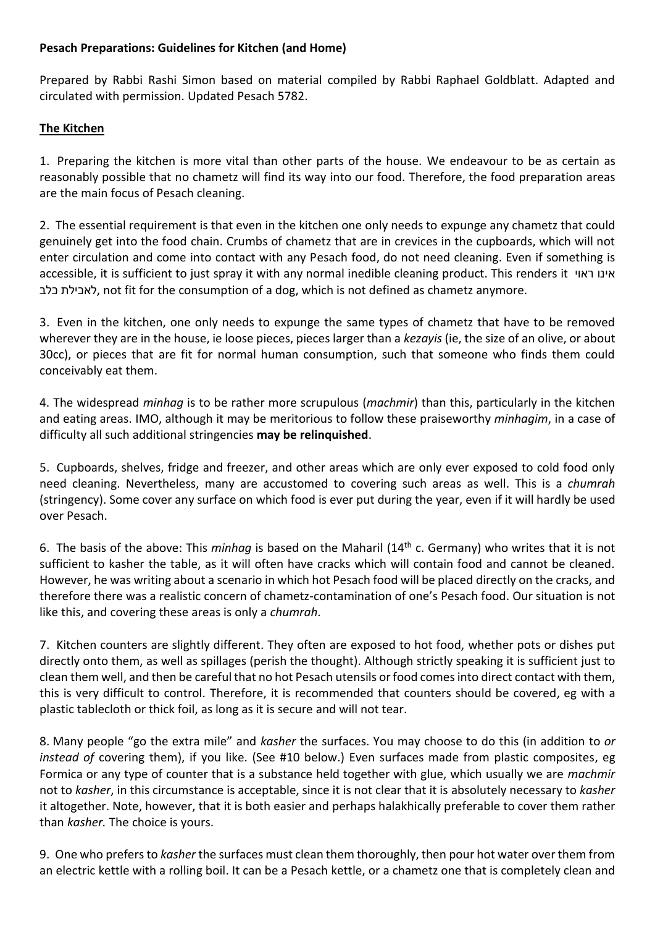### **Pesach Preparations: Guidelines for Kitchen (and Home)**

Prepared by Rabbi Rashi Simon based on material compiled by Rabbi Raphael Goldblatt. Adapted and circulated with permission. Updated Pesach 5782.

## **The Kitchen**

1. Preparing the kitchen is more vital than other parts of the house. We endeavour to be as certain as reasonably possible that no chametz will find its way into our food. Therefore, the food preparation areas are the main focus of Pesach cleaning.

2. The essential requirement is that even in the kitchen one only needs to expunge any chametz that could genuinely get into the food chain. Crumbs of chametz that are in crevices in the cupboards, which will not enter circulation and come into contact with any Pesach food, do not need cleaning. Even if something is accessible, it is sufficient to just spray it with any normal inedible cleaning product. This renders it ראוי אינו כלב לאכילת, not fit for the consumption of a dog, which is not defined as chametz anymore.

3. Even in the kitchen, one only needs to expunge the same types of chametz that have to be removed wherever they are in the house, ie loose pieces, pieces larger than a *kezayis* (ie, the size of an olive, or about 30cc), or pieces that are fit for normal human consumption, such that someone who finds them could conceivably eat them.

4. The widespread *minhag* is to be rather more scrupulous (*machmir*) than this, particularly in the kitchen and eating areas. IMO, although it may be meritorious to follow these praiseworthy *minhagim*, in a case of difficulty all such additional stringencies **may be relinquished**.

5. Cupboards, shelves, fridge and freezer, and other areas which are only ever exposed to cold food only need cleaning. Nevertheless, many are accustomed to covering such areas as well. This is a *chumrah* (stringency). Some cover any surface on which food is ever put during the year, even if it will hardly be used over Pesach.

6. The basis of the above: This *minhag* is based on the Maharil (14th c. Germany) who writes that it is not sufficient to kasher the table, as it will often have cracks which will contain food and cannot be cleaned. However, he was writing about a scenario in which hot Pesach food will be placed directly on the cracks, and therefore there was a realistic concern of chametz-contamination of one's Pesach food. Our situation is not like this, and covering these areas is only a *chumrah*.

7. Kitchen counters are slightly different. They often are exposed to hot food, whether pots or dishes put directly onto them, as well as spillages (perish the thought). Although strictly speaking it is sufficient just to clean them well, and then be careful that no hot Pesach utensils or food comes into direct contact with them, this is very difficult to control. Therefore, it is recommended that counters should be covered, eg with a plastic tablecloth or thick foil, as long as it is secure and will not tear.

8. Many people "go the extra mile" and *kasher* the surfaces. You may choose to do this (in addition to *or instead of* covering them), if you like. (See #10 below.) Even surfaces made from plastic composites, eg Formica or any type of counter that is a substance held together with glue, which usually we are *machmir* not to *kasher*, in this circumstance is acceptable, since it is not clear that it is absolutely necessary to *kasher* it altogether. Note, however, that it is both easier and perhaps halakhically preferable to cover them rather than *kasher.* The choice is yours.

9. One who prefers to *kasher* the surfaces must clean them thoroughly, then pour hot water over them from an electric kettle with a rolling boil. It can be a Pesach kettle, or a chametz one that is completely clean and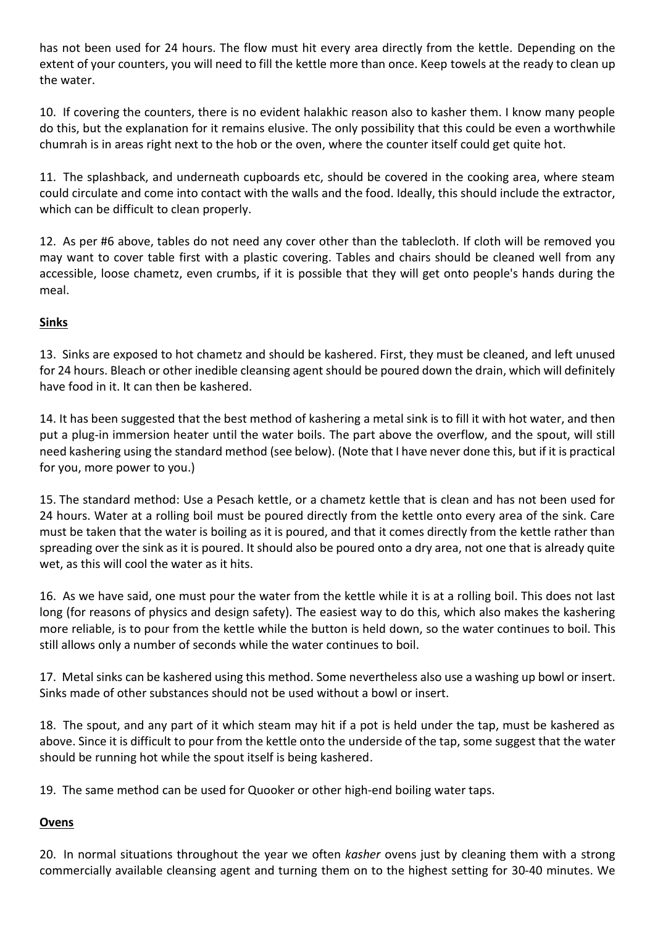has not been used for 24 hours. The flow must hit every area directly from the kettle. Depending on the extent of your counters, you will need to fill the kettle more than once. Keep towels at the ready to clean up the water.

10. If covering the counters, there is no evident halakhic reason also to kasher them. I know many people do this, but the explanation for it remains elusive. The only possibility that this could be even a worthwhile chumrah is in areas right next to the hob or the oven, where the counter itself could get quite hot.

11. The splashback, and underneath cupboards etc, should be covered in the cooking area, where steam could circulate and come into contact with the walls and the food. Ideally, this should include the extractor, which can be difficult to clean properly.

12. As per #6 above, tables do not need any cover other than the tablecloth. If cloth will be removed you may want to cover table first with a plastic covering. Tables and chairs should be cleaned well from any accessible, loose chametz, even crumbs, if it is possible that they will get onto people's hands during the meal.

## **Sinks**

13. Sinks are exposed to hot chametz and should be kashered. First, they must be cleaned, and left unused for 24 hours. Bleach or other inedible cleansing agent should be poured down the drain, which will definitely have food in it. It can then be kashered.

14. It has been suggested that the best method of kashering a metal sink is to fill it with hot water, and then put a plug-in immersion heater until the water boils. The part above the overflow, and the spout, will still need kashering using the standard method (see below). (Note that I have never done this, but if it is practical for you, more power to you.)

15. The standard method: Use a Pesach kettle, or a chametz kettle that is clean and has not been used for 24 hours. Water at a rolling boil must be poured directly from the kettle onto every area of the sink. Care must be taken that the water is boiling as it is poured, and that it comes directly from the kettle rather than spreading over the sink as it is poured. It should also be poured onto a dry area, not one that is already quite wet, as this will cool the water as it hits.

16. As we have said, one must pour the water from the kettle while it is at a rolling boil. This does not last long (for reasons of physics and design safety). The easiest way to do this, which also makes the kashering more reliable, is to pour from the kettle while the button is held down, so the water continues to boil. This still allows only a number of seconds while the water continues to boil.

17. Metal sinks can be kashered using this method. Some nevertheless also use a washing up bowl or insert. Sinks made of other substances should not be used without a bowl or insert.

18. The spout, and any part of it which steam may hit if a pot is held under the tap, must be kashered as above. Since it is difficult to pour from the kettle onto the underside of the tap, some suggest that the water should be running hot while the spout itself is being kashered.

19. The same method can be used for Quooker or other high-end boiling water taps.

# **Ovens**

20. In normal situations throughout the year we often *kasher* ovens just by cleaning them with a strong commercially available cleansing agent and turning them on to the highest setting for 30-40 minutes. We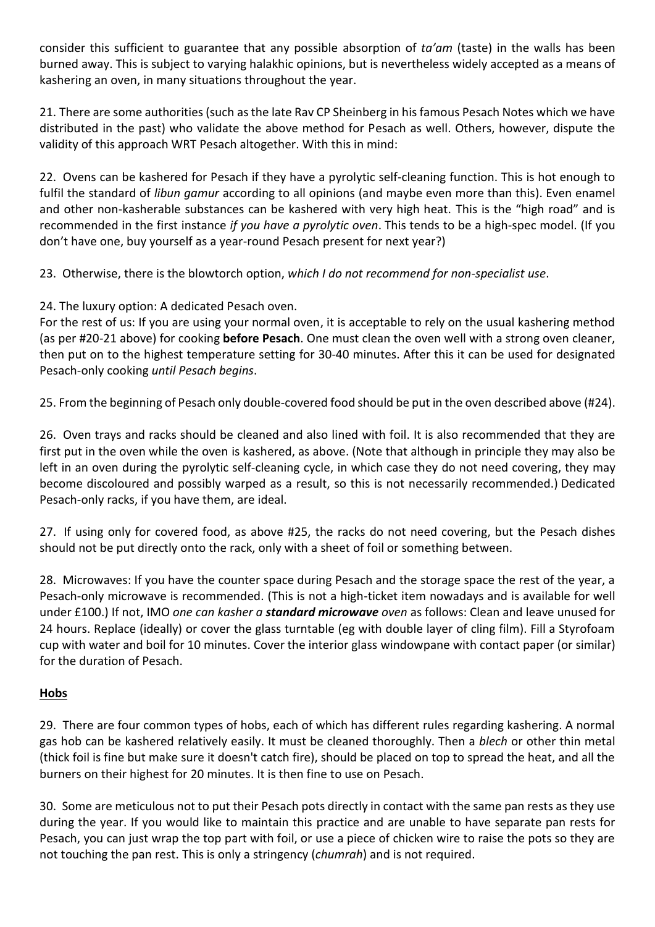consider this sufficient to guarantee that any possible absorption of *ta'am* (taste) in the walls has been burned away. This is subject to varying halakhic opinions, but is nevertheless widely accepted as a means of kashering an oven, in many situations throughout the year.

21. There are some authorities (such as the late Rav CP Sheinberg in his famous Pesach Notes which we have distributed in the past) who validate the above method for Pesach as well. Others, however, dispute the validity of this approach WRT Pesach altogether. With this in mind:

22. Ovens can be kashered for Pesach if they have a pyrolytic self-cleaning function. This is hot enough to fulfil the standard of *libun gamur* according to all opinions (and maybe even more than this). Even enamel and other non-kasherable substances can be kashered with very high heat. This is the "high road" and is recommended in the first instance *if you have a pyrolytic oven*. This tends to be a high-spec model. (If you don't have one, buy yourself as a year-round Pesach present for next year?)

23. Otherwise, there is the blowtorch option, *which I do not recommend for non-specialist use*.

24. The luxury option: A dedicated Pesach oven.

For the rest of us: If you are using your normal oven, it is acceptable to rely on the usual kashering method (as per #20-21 above) for cooking **before Pesach**. One must clean the oven well with a strong oven cleaner, then put on to the highest temperature setting for 30-40 minutes. After this it can be used for designated Pesach-only cooking *until Pesach begins*.

25. From the beginning of Pesach only double-covered food should be put in the oven described above (#24).

26. Oven trays and racks should be cleaned and also lined with foil. It is also recommended that they are first put in the oven while the oven is kashered, as above. (Note that although in principle they may also be left in an oven during the pyrolytic self-cleaning cycle, in which case they do not need covering, they may become discoloured and possibly warped as a result, so this is not necessarily recommended.) Dedicated Pesach-only racks, if you have them, are ideal.

27. If using only for covered food, as above #25, the racks do not need covering, but the Pesach dishes should not be put directly onto the rack, only with a sheet of foil or something between.

28. Microwaves: If you have the counter space during Pesach and the storage space the rest of the year, a Pesach-only microwave is recommended. (This is not a high-ticket item nowadays and is available for well under £100.) If not, IMO *one can kasher a standard microwave oven* as follows: Clean and leave unused for 24 hours. Replace (ideally) or cover the glass turntable (eg with double layer of cling film). Fill a Styrofoam cup with water and boil for 10 minutes. Cover the interior glass windowpane with contact paper (or similar) for the duration of Pesach.

# **Hobs**

29. There are four common types of hobs, each of which has different rules regarding kashering. A normal gas hob can be kashered relatively easily. It must be cleaned thoroughly. Then a *blech* or other thin metal (thick foil is fine but make sure it doesn't catch fire), should be placed on top to spread the heat, and all the burners on their highest for 20 minutes. It is then fine to use on Pesach.

30. Some are meticulous not to put their Pesach pots directly in contact with the same pan rests as they use during the year. If you would like to maintain this practice and are unable to have separate pan rests for Pesach, you can just wrap the top part with foil, or use a piece of chicken wire to raise the pots so they are not touching the pan rest. This is only a stringency (*chumrah*) and is not required.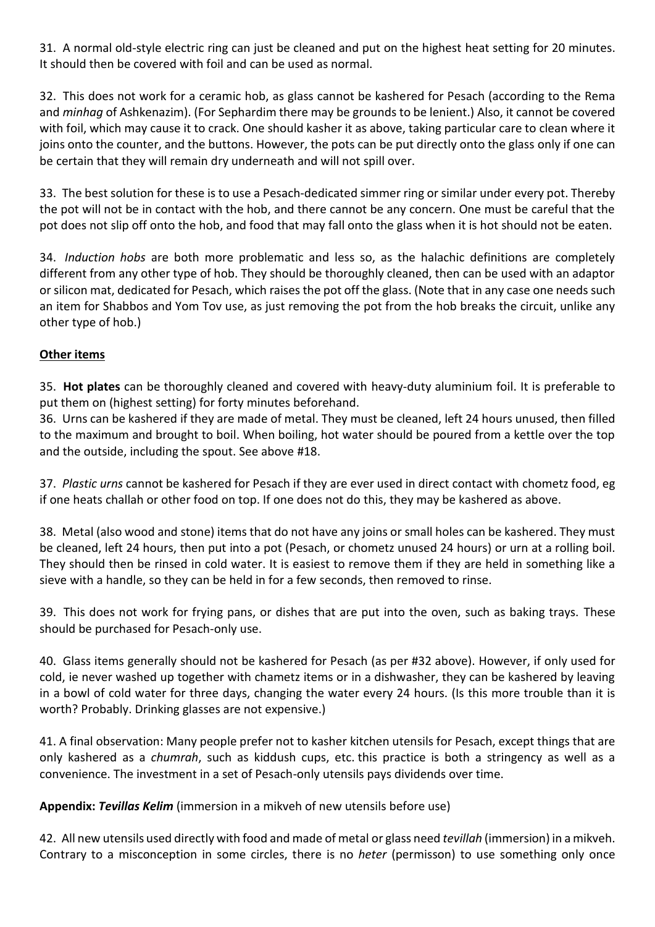31. A normal old-style electric ring can just be cleaned and put on the highest heat setting for 20 minutes. It should then be covered with foil and can be used as normal.

32. This does not work for a ceramic hob, as glass cannot be kashered for Pesach (according to the Rema and *minhag* of Ashkenazim). (For Sephardim there may be grounds to be lenient.) Also, it cannot be covered with foil, which may cause it to crack. One should kasher it as above, taking particular care to clean where it joins onto the counter, and the buttons. However, the pots can be put directly onto the glass only if one can be certain that they will remain dry underneath and will not spill over.

33. The best solution for these is to use a Pesach-dedicated simmer ring or similar under every pot. Thereby the pot will not be in contact with the hob, and there cannot be any concern. One must be careful that the pot does not slip off onto the hob, and food that may fall onto the glass when it is hot should not be eaten.

34. *Induction hobs* are both more problematic and less so, as the halachic definitions are completely different from any other type of hob. They should be thoroughly cleaned, then can be used with an adaptor or silicon mat, dedicated for Pesach, which raises the pot off the glass. (Note that in any case one needs such an item for Shabbos and Yom Tov use, as just removing the pot from the hob breaks the circuit, unlike any other type of hob.)

## **Other items**

35. **Hot plates** can be thoroughly cleaned and covered with heavy-duty aluminium foil. It is preferable to put them on (highest setting) for forty minutes beforehand.

36. Urns can be kashered if they are made of metal. They must be cleaned, left 24 hours unused, then filled to the maximum and brought to boil. When boiling, hot water should be poured from a kettle over the top and the outside, including the spout. See above #18.

37. *Plastic urns* cannot be kashered for Pesach if they are ever used in direct contact with chometz food, eg if one heats challah or other food on top. If one does not do this, they may be kashered as above.

38. Metal (also wood and stone) items that do not have any joins or small holes can be kashered. They must be cleaned, left 24 hours, then put into a pot (Pesach, or chometz unused 24 hours) or urn at a rolling boil. They should then be rinsed in cold water. It is easiest to remove them if they are held in something like a sieve with a handle, so they can be held in for a few seconds, then removed to rinse.

39. This does not work for frying pans, or dishes that are put into the oven, such as baking trays. These should be purchased for Pesach-only use.

40. Glass items generally should not be kashered for Pesach (as per #32 above). However, if only used for cold, ie never washed up together with chametz items or in a dishwasher, they can be kashered by leaving in a bowl of cold water for three days, changing the water every 24 hours. (Is this more trouble than it is worth? Probably. Drinking glasses are not expensive.)

41. A final observation: Many people prefer not to kasher kitchen utensils for Pesach, except things that are only kashered as a *chumrah*, such as kiddush cups, etc. this practice is both a stringency as well as a convenience. The investment in a set of Pesach-only utensils pays dividends over time.

**Appendix:** *Tevillas Kelim* (immersion in a mikveh of new utensils before use)

42. All new utensils used directly with food and made of metal or glass need *tevillah* (immersion) in a mikveh. Contrary to a misconception in some circles, there is no *heter* (permisson) to use something only once